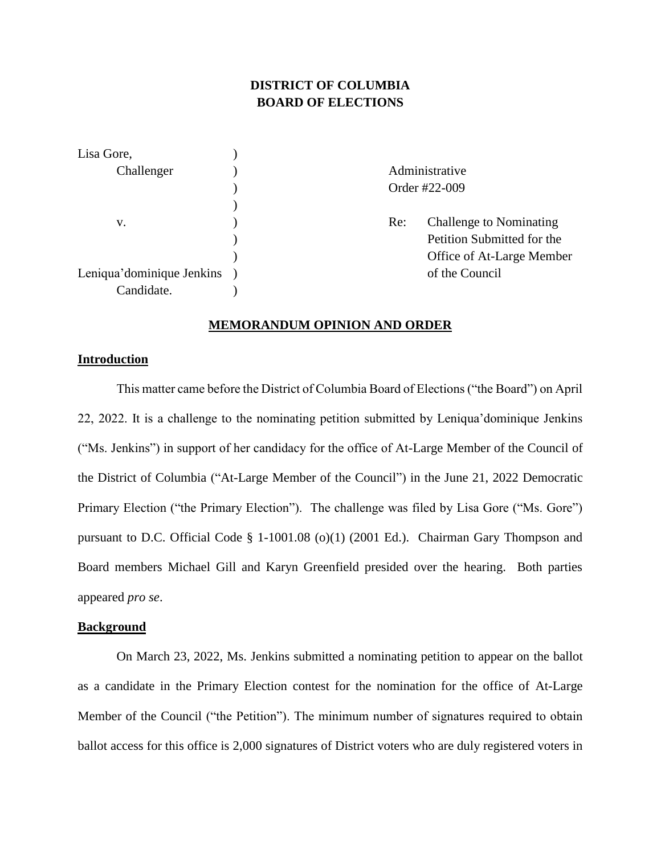# **DISTRICT OF COLUMBIA BOARD OF ELECTIONS**

| Lisa Gore,                |                |                                |  |
|---------------------------|----------------|--------------------------------|--|
| Challenger                | Administrative |                                |  |
|                           | Order #22-009  |                                |  |
|                           |                |                                |  |
| V.                        | Re:            | <b>Challenge to Nominating</b> |  |
|                           |                | Petition Submitted for the     |  |
|                           |                | Office of At-Large Member      |  |
| Leniqua'dominique Jenkins |                | of the Council                 |  |
| Candidate.                |                |                                |  |

### **MEMORANDUM OPINION AND ORDER**

# **Introduction**

This matter came before the District of Columbia Board of Elections ("the Board") on April 22, 2022. It is a challenge to the nominating petition submitted by Leniqua'dominique Jenkins ("Ms. Jenkins") in support of her candidacy for the office of At-Large Member of the Council of the District of Columbia ("At-Large Member of the Council") in the June 21, 2022 Democratic Primary Election ("the Primary Election"). The challenge was filed by Lisa Gore ("Ms. Gore") pursuant to D.C. Official Code § 1-1001.08 (o)(1) (2001 Ed.). Chairman Gary Thompson and Board members Michael Gill and Karyn Greenfield presided over the hearing. Both parties appeared *pro se*.

# **Background**

On March 23, 2022, Ms. Jenkins submitted a nominating petition to appear on the ballot as a candidate in the Primary Election contest for the nomination for the office of At-Large Member of the Council ("the Petition"). The minimum number of signatures required to obtain ballot access for this office is 2,000 signatures of District voters who are duly registered voters in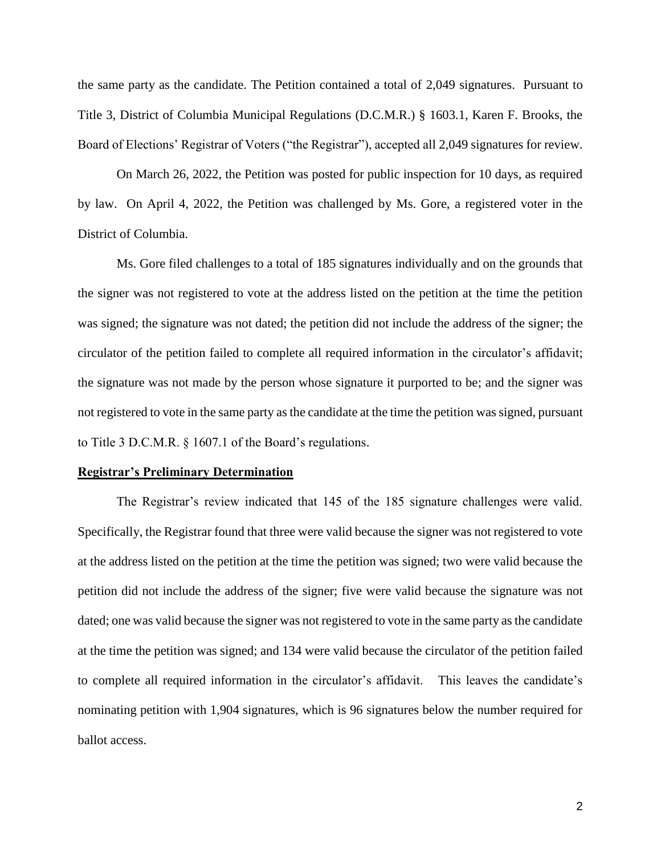the same party as the candidate. The Petition contained a total of 2,049 signatures. Pursuant to Title 3, District of Columbia Municipal Regulations (D.C.M.R.) § 1603.1, Karen F. Brooks, the Board of Elections' Registrar of Voters ("the Registrar"), accepted all 2,049 signatures for review.

On March 26, 2022, the Petition was posted for public inspection for 10 days, as required by law. On April 4, 2022, the Petition was challenged by Ms. Gore, a registered voter in the District of Columbia.

Ms. Gore filed challenges to a total of 185 signatures individually and on the grounds that the signer was not registered to vote at the address listed on the petition at the time the petition was signed; the signature was not dated; the petition did not include the address of the signer; the circulator of the petition failed to complete all required information in the circulator's affidavit; the signature was not made by the person whose signature it purported to be; and the signer was not registered to vote in the same party as the candidate at the time the petition was signed, pursuant to Title 3 D.C.M.R. § 1607.1 of the Board's regulations.

#### **Registrar's Preliminary Determination**

The Registrar's review indicated that 145 of the 185 signature challenges were valid. Specifically, the Registrar found that three were valid because the signer was not registered to vote at the address listed on the petition at the time the petition was signed; two were valid because the petition did not include the address of the signer; five were valid because the signature was not dated; one was valid because the signer was not registered to vote in the same party as the candidate at the time the petition was signed; and 134 were valid because the circulator of the petition failed to complete all required information in the circulator's affidavit. This leaves the candidate's nominating petition with 1,904 signatures, which is 96 signatures below the number required for ballot access.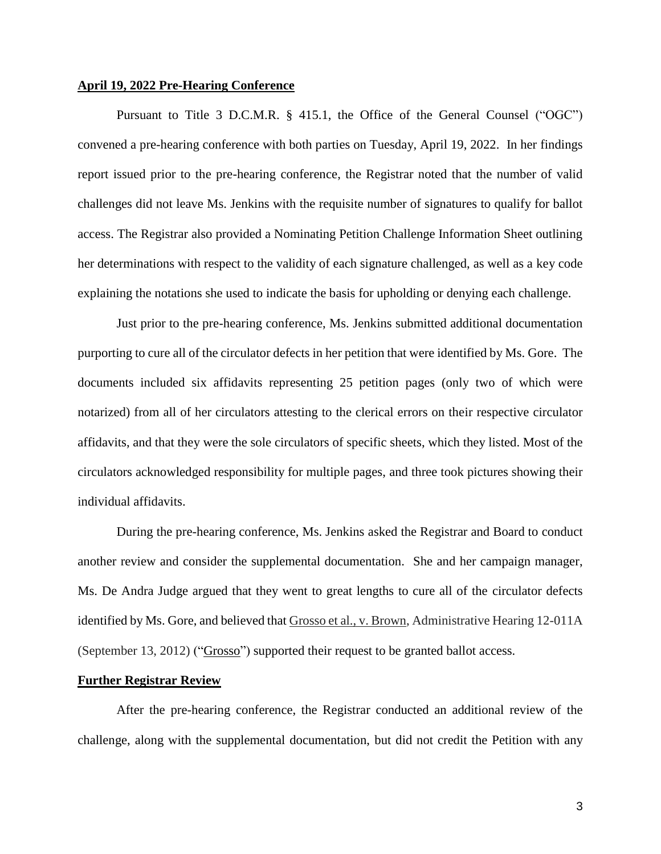# **April 19, 2022 Pre-Hearing Conference**

Pursuant to Title 3 D.C.M.R. § 415.1, the Office of the General Counsel ("OGC") convened a pre-hearing conference with both parties on Tuesday, April 19, 2022. In her findings report issued prior to the pre-hearing conference, the Registrar noted that the number of valid challenges did not leave Ms. Jenkins with the requisite number of signatures to qualify for ballot access. The Registrar also provided a Nominating Petition Challenge Information Sheet outlining her determinations with respect to the validity of each signature challenged, as well as a key code explaining the notations she used to indicate the basis for upholding or denying each challenge.

Just prior to the pre-hearing conference, Ms. Jenkins submitted additional documentation purporting to cure all of the circulator defects in her petition that were identified by Ms. Gore. The documents included six affidavits representing 25 petition pages (only two of which were notarized) from all of her circulators attesting to the clerical errors on their respective circulator affidavits, and that they were the sole circulators of specific sheets, which they listed. Most of the circulators acknowledged responsibility for multiple pages, and three took pictures showing their individual affidavits.

During the pre-hearing conference, Ms. Jenkins asked the Registrar and Board to conduct another review and consider the supplemental documentation. She and her campaign manager, Ms. De Andra Judge argued that they went to great lengths to cure all of the circulator defects identified by Ms. Gore, and believed that Grosso et al., v. Brown, Administrative Hearing 12-011A (September 13, 2012) ("Grosso") supported their request to be granted ballot access.

# **Further Registrar Review**

After the pre-hearing conference, the Registrar conducted an additional review of the challenge, along with the supplemental documentation, but did not credit the Petition with any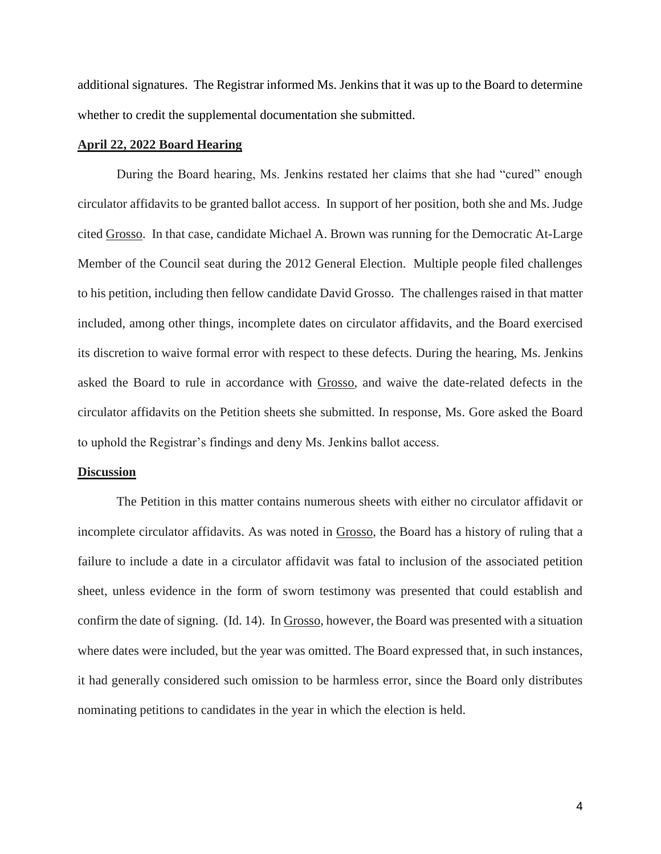additional signatures. The Registrar informed Ms. Jenkins that it was up to the Board to determine whether to credit the supplemental documentation she submitted.

# **April 22, 2022 Board Hearing**

During the Board hearing, Ms. Jenkins restated her claims that she had "cured" enough circulator affidavits to be granted ballot access. In support of her position, both she and Ms. Judge cited Grosso. In that case, candidate Michael A. Brown was running for the Democratic At-Large Member of the Council seat during the 2012 General Election. Multiple people filed challenges to his petition, including then fellow candidate David Grosso. The challenges raised in that matter included, among other things, incomplete dates on circulator affidavits, and the Board exercised its discretion to waive formal error with respect to these defects. During the hearing, Ms. Jenkins asked the Board to rule in accordance with Grosso, and waive the date-related defects in the circulator affidavits on the Petition sheets she submitted. In response, Ms. Gore asked the Board to uphold the Registrar's findings and deny Ms. Jenkins ballot access.

### **Discussion**

The Petition in this matter contains numerous sheets with either no circulator affidavit or incomplete circulator affidavits. As was noted in Grosso, the Board has a history of ruling that a failure to include a date in a circulator affidavit was fatal to inclusion of the associated petition sheet, unless evidence in the form of sworn testimony was presented that could establish and confirm the date of signing. (Id. 14). In Grosso, however, the Board was presented with a situation where dates were included, but the year was omitted. The Board expressed that, in such instances, it had generally considered such omission to be harmless error, since the Board only distributes nominating petitions to candidates in the year in which the election is held.